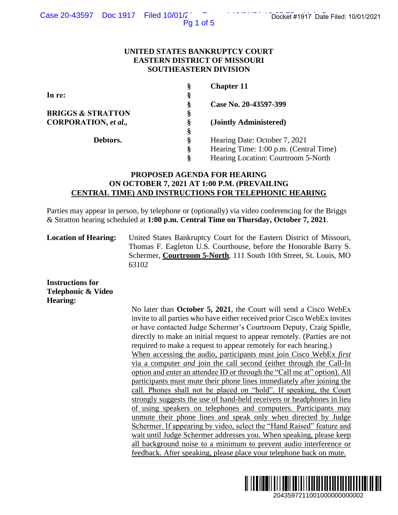Pg 1 of 5

### **UNITED STATES BANKRUPTCY COURT EASTERN DISTRICT OF MISSOURI SOUTHEASTERN DIVISION**

| Ş | <b>Chapter 11</b>                      |
|---|----------------------------------------|
| § |                                        |
| Ş | Case No. 20-43597-399                  |
| § |                                        |
| Ş | (Jointly Administered)                 |
| Ş |                                        |
| Ş | Hearing Date: October 7, 2021          |
| ş | Hearing Time: 1:00 p.m. (Central Time) |
| Ş | Hearing Location: Courtroom 5-North    |
|   |                                        |

# **PROPOSED AGENDA FOR HEARING ON OCTOBER 7, 2021 AT 1:00 P.M. (PREVAILING CENTRAL TIME) AND INSTRUCTIONS FOR TELEPHONIC HEARING**

Parties may appear in person, by telephone or (optionally) via video conferencing for the Briggs & Stratton hearing scheduled at **1:00 p.m. Central Time on Thursday, October 7, 2021**.

**Location of Hearing:** United States Bankruptcy Court for the Eastern District of Missouri, Thomas F. Eagleton U.S. Courthouse, before the Honorable Barry S. Schermer, **Courtroom 5-North**, 111 South 10th Street, St. Louis, MO 63102

**Instructions for Telephonic & Video Hearing:**

No later than **October 5, 2021**, the Court will send a Cisco WebEx invite to all parties who have either received prior Cisco WebEx invites or have contacted Judge Schermer's Courtroom Deputy, Craig Spidle, directly to make an initial request to appear remotely. (Parties are not required to make a request to appear remotely for each hearing.) When accessing the audio, participants must join Cisco WebEx *first*  via a computer *and* join the call second (either through the Call-In option and enter an attendee ID or through the "Call me at" option). All participants must mute their phone lines immediately after joining the call. Phones shall not be placed on "hold". If speaking, the Court strongly suggests the use of hand-held receivers or headphones in lieu of using speakers on telephones and computers. Participants may unmute their phone lines and speak only when directed by Judge Schermer. If appearing by video, select the "Hand Raised" feature and wait until Judge Schermer addresses you. When speaking, please keep all background noise to a minimum to prevent audio interference or feedback. After speaking, please place your telephone back on mute. 2043597211001000000000002 Docket #1917 Date Filed: 10/01/2021

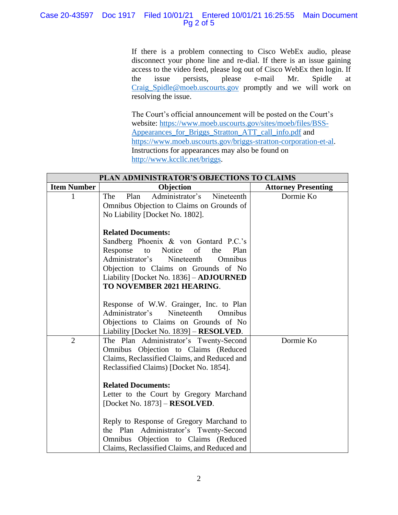# Case 20-43597 Doc 1917 Filed 10/01/21 Entered 10/01/21 16:25:55 Main Document Pg 2 of 5

If there is a problem connecting to Cisco WebEx audio, please disconnect your phone line and re-dial. If there is an issue gaining access to the video feed, please log out of Cisco WebEx then login. If the issue persists, please e-mail Mr. Spidle at [Craig\\_Spidle@moeb.uscourts.gov](mailto:Shontelle_McCoy@moeb.uscourts.gov) promptly and we will work on resolving the issue.

The Court's official announcement will be posted on the Court's website: [https://www.moeb.uscourts.gov/sites/moeb/files/BSS-](https://www.moeb.uscourts.gov/sites/moeb/files/BSS-Appearances_for_Briggs_Stratton_ATT_call_info.pdf)[Appearances\\_for\\_Briggs\\_Stratton\\_ATT\\_call\\_info.pdf](https://www.moeb.uscourts.gov/sites/moeb/files/BSS-Appearances_for_Briggs_Stratton_ATT_call_info.pdf) and [https://www.moeb.uscourts.gov/briggs-stratton-corporation-et-al.](https://www.moeb.uscourts.gov/briggs-stratton-corporation-et-al) Instructions for appearances may also be found on [http://www.kccllc.net/briggs.](http://www.kccllc.net/briggs)

| PLAN ADMINISTRATOR'S OBJECTIONS TO CLAIMS |                                                                                                                                                                                                                                                                                                |                            |  |  |
|-------------------------------------------|------------------------------------------------------------------------------------------------------------------------------------------------------------------------------------------------------------------------------------------------------------------------------------------------|----------------------------|--|--|
| <b>Item Number</b>                        | Objection                                                                                                                                                                                                                                                                                      | <b>Attorney Presenting</b> |  |  |
|                                           | The<br>Administrator's<br>Plan<br>Nineteenth<br>Omnibus Objection to Claims on Grounds of<br>No Liability [Docket No. 1802].                                                                                                                                                                   | Dormie Ko                  |  |  |
|                                           | <b>Related Documents:</b><br>Sandberg Phoenix & von Gontard P.C.'s<br>Response<br>of<br>Notice<br>the<br>Plan<br>to<br>Administrator's Nineteenth<br>Omnibus<br>Objection to Claims on Grounds of No<br>Liability [Docket No. 1836] - ADJOURNED<br>TO NOVEMBER 2021 HEARING.                   |                            |  |  |
|                                           | Response of W.W. Grainger, Inc. to Plan<br>Nineteenth<br>Administrator's<br>Omnibus<br>Objections to Claims on Grounds of No<br>Liability [Docket No. 1839] – RESOLVED.                                                                                                                        |                            |  |  |
| $\overline{2}$                            | The Plan Administrator's Twenty-Second<br>Omnibus Objection to Claims (Reduced<br>Claims, Reclassified Claims, and Reduced and<br>Reclassified Claims) [Docket No. 1854].                                                                                                                      | Dormie Ko                  |  |  |
|                                           | <b>Related Documents:</b><br>Letter to the Court by Gregory Marchand<br>[Docket No. $1873$ ] – <b>RESOLVED</b> .<br>Reply to Response of Gregory Marchand to<br>the Plan Administrator's Twenty-Second<br>Omnibus Objection to Claims (Reduced<br>Claims, Reclassified Claims, and Reduced and |                            |  |  |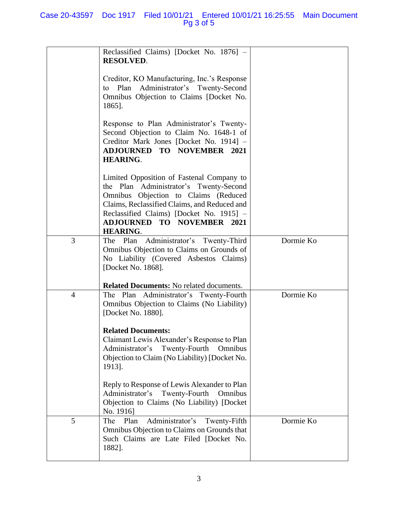|                | Reclassified Claims) [Docket No. 1876] -<br><b>RESOLVED.</b>                                                                                                                                                                                                                    |           |
|----------------|---------------------------------------------------------------------------------------------------------------------------------------------------------------------------------------------------------------------------------------------------------------------------------|-----------|
|                | Creditor, KO Manufacturing, Inc.'s Response<br>Plan Administrator's Twenty-Second<br>to<br>Omnibus Objection to Claims [Docket No.<br>1865].                                                                                                                                    |           |
|                | Response to Plan Administrator's Twenty-<br>Second Objection to Claim No. 1648-1 of<br>Creditor Mark Jones [Docket No. 1914] -<br><b>ADJOURNED TO NOVEMBER 2021</b><br><b>HEARING.</b>                                                                                          |           |
|                | Limited Opposition of Fastenal Company to<br>the Plan Administrator's Twenty-Second<br>Omnibus Objection to Claims (Reduced<br>Claims, Reclassified Claims, and Reduced and<br>Reclassified Claims) [Docket No. 1915] -<br><b>ADJOURNED TO NOVEMBER 2021</b><br><b>HEARING.</b> |           |
| 3              | The Plan Administrator's Twenty-Third<br>Omnibus Objection to Claims on Grounds of<br>No Liability (Covered Asbestos Claims)<br>[Docket No. 1868].<br><b>Related Documents:</b> No related documents.                                                                           | Dormie Ko |
| $\overline{4}$ | The Plan Administrator's Twenty-Fourth<br>Omnibus Objection to Claims (No Liability)<br>[Docket No. 1880].<br><b>Related Documents:</b><br>Claimant Lewis Alexander's Response to Plan                                                                                          | Dormie Ko |
|                | Administrator's<br>Twenty-Fourth<br>Omnibus<br>Objection to Claim (No Liability) [Docket No.<br>1913].<br>Reply to Response of Lewis Alexander to Plan                                                                                                                          |           |
|                | Administrator's<br>Twenty-Fourth<br>Omnibus<br>Objection to Claims (No Liability) [Docket]<br>No. 1916]                                                                                                                                                                         |           |
| 5              | Administrator's<br>Plan<br>Twenty-Fifth<br>The<br>Omnibus Objection to Claims on Grounds that<br>Such Claims are Late Filed [Docket No.<br>1882].                                                                                                                               | Dormie Ko |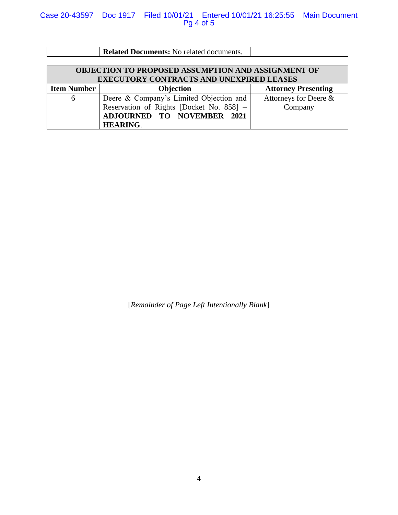## Case 20-43597 Doc 1917 Filed 10/01/21 Entered 10/01/21 16:25:55 Main Document Pg 4 of 5

|                                                    | <b>Related Documents:</b> No related documents. |                            |  |  |  |
|----------------------------------------------------|-------------------------------------------------|----------------------------|--|--|--|
|                                                    |                                                 |                            |  |  |  |
| OBJECTION TO PROPOSED ASSUMPTION AND ASSIGNMENT OF |                                                 |                            |  |  |  |
| <b>EXECUTORY CONTRACTS AND UNEXPIRED LEASES</b>    |                                                 |                            |  |  |  |
| <b>Item Number</b>                                 | <b>Objection</b>                                | <b>Attorney Presenting</b> |  |  |  |
| 6                                                  | Deere & Company's Limited Objection and         | Attorneys for Deere &      |  |  |  |
|                                                    | Reservation of Rights [Docket No. 858] -        | Company                    |  |  |  |
|                                                    | <b>ADJOURNED TO NOVEMBER 2021</b>               |                            |  |  |  |
|                                                    | <b>HEARING.</b>                                 |                            |  |  |  |

[*Remainder of Page Left Intentionally Blank*]